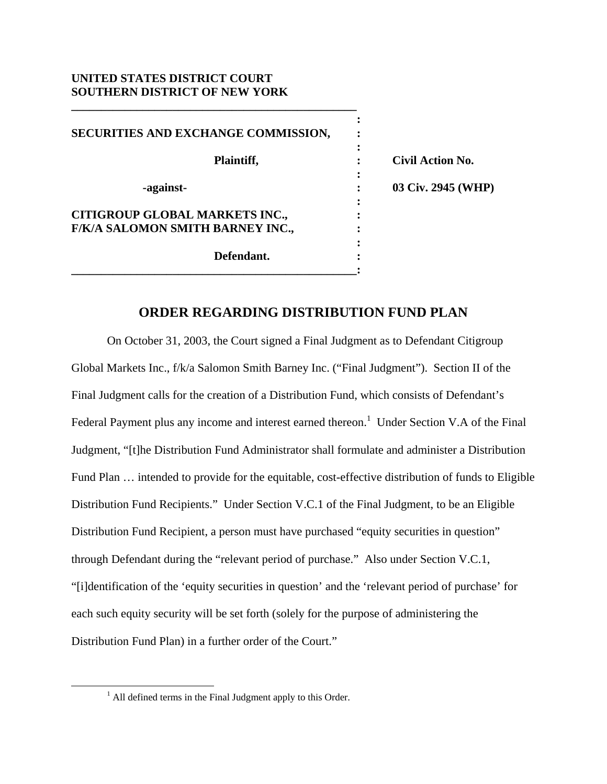## **UNITED STATES DISTRICT COURT SOUTHERN DISTRICT OF NEW YORK**

**\_\_\_\_\_\_\_\_\_\_\_\_\_\_\_\_\_\_\_\_\_\_\_\_\_\_\_\_\_\_\_\_\_\_\_\_\_\_\_\_\_\_\_\_\_\_\_\_** 

| SECURITIES AND EXCHANGE COMMISSION,                                       |   |                         |
|---------------------------------------------------------------------------|---|-------------------------|
| Plaintiff,                                                                |   | <b>Civil Action No.</b> |
| -against-                                                                 | ٠ | 03 Civ. 2945 (WHP)      |
| <b>CITIGROUP GLOBAL MARKETS INC.,</b><br>F/K/A SALOMON SMITH BARNEY INC., |   |                         |
| Defendant.                                                                |   |                         |
|                                                                           |   |                         |

## **ORDER REGARDING DISTRIBUTION FUND PLAN**

 On October 31, 2003, the Court signed a Final Judgment as to Defendant Citigroup Global Markets Inc., f/k/a Salomon Smith Barney Inc. ("Final Judgment"). Section II of the Final Judgment calls for the creation of a Distribution Fund, which consists of Defendant's Federal Payment plus any income and interest earned thereon.<sup>1</sup> Under Section V.A of the Final Judgment, "[t]he Distribution Fund Administrator shall formulate and administer a Distribution Fund Plan … intended to provide for the equitable, cost-effective distribution of funds to Eligible Distribution Fund Recipients." Under Section V.C.1 of the Final Judgment, to be an Eligible Distribution Fund Recipient, a person must have purchased "equity securities in question" through Defendant during the "relevant period of purchase." Also under Section V.C.1, "[i]dentification of the 'equity securities in question' and the 'relevant period of purchase' for each such equity security will be set forth (solely for the purpose of administering the Distribution Fund Plan) in a further order of the Court."

 $\frac{1}{1}$  $<sup>1</sup>$  All defined terms in the Final Judgment apply to this Order.</sup>